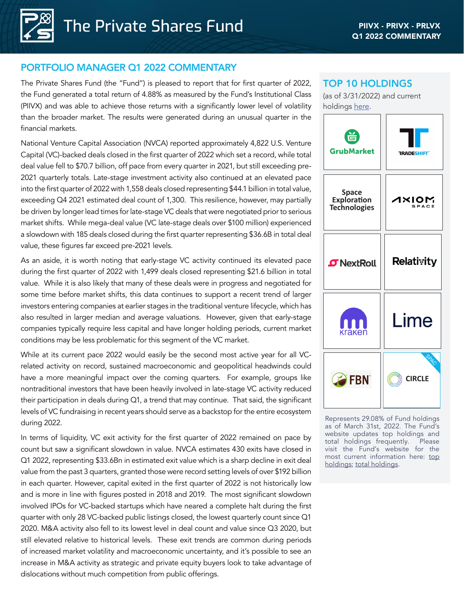# PORTFOLIO MANAGER Q1 2022 COMMENTARY

The Private Shares Fund (the "Fund") is pleased to report that for first quarter of 2022, the Fund generated a total return of 4.88% as measured by the Fund's Institutional Class (PIIVX) and was able to achieve those returns with a significantly lower level of volatility than the broader market. The results were generated during an unusual quarter in the financial markets.

National Venture Capital Association (NVCA) reported approximately 4,822 U.S. Venture Capital (VC)-backed deals closed in the first quarter of 2022 which set a record, while total deal value fell to \$70.7 billion, off pace from every quarter in 2021, but still exceeding pre-2021 quarterly totals. Late-stage investment activity also continued at an elevated pace into the first quarter of 2022 with 1,558 deals closed representing \$44.1 billion in total value, exceeding Q4 2021 estimated deal count of 1,300. This resilience, however, may partially be driven by longer lead times for late-stage VC deals that were negotiated prior to serious market shifts. While mega-deal value (VC late-stage deals over \$100 million) experienced a slowdown with 185 deals closed during the first quarter representing \$36.6B in total deal value, these figures far exceed pre-2021 levels.

As an aside, it is worth noting that early-stage VC activity continued its elevated pace during the first quarter of 2022 with 1,499 deals closed representing \$21.6 billion in total value. While it is also likely that many of these deals were in progress and negotiated for some time before market shifts, this data continues to support a recent trend of larger investors entering companies at earlier stages in the traditional venture lifecycle, which has also resulted in larger median and average valuations. However, given that early-stage companies typically require less capital and have longer holding periods, current market conditions may be less problematic for this segment of the VC market.

While at its current pace 2022 would easily be the second most active year for all VCrelated activity on record, sustained macroeconomic and geopolitical headwinds could have a more meaningful impact over the coming quarters. For example, groups like nontraditional investors that have been heavily involved in late-stage VC activity reduced their participation in deals during Q1, a trend that may continue. That said, the significant levels of VC fundraising in recent years should serve as a backstop for the entire ecosystem during 2022.

In terms of liquidity, VC exit activity for the first quarter of 2022 remained on pace by count but saw a significant slowdown in value. NVCA estimates 430 exits have closed in Q1 2022, representing \$33.6Bn in estimated exit value which is a sharp decline in exit deal value from the past 3 quarters, granted those were record setting levels of over \$192 billion in each quarter. However, capital exited in the first quarter of 2022 is not historically low and is more in line with figures posted in 2018 and 2019. The most significant slowdown involved IPOs for VC-backed startups which have neared a complete halt during the first quarter with only 28 VC-backed public listings closed, the lowest quarterly count since Q1 2020. M&A activity also fell to its lowest level in deal count and value since Q3 2020, but still elevated relative to historical levels. These exit trends are common during periods of increased market volatility and macroeconomic uncertainty, and it's possible to see an increase in M&A activity as strategic and private equity buyers look to take advantage of dislocations without much competition from public offerings.

# TOP 10 HOLDINGS

(as of 3/31/2022) and current holdings [here](https://privatesharesfund.com/portfolio/).



Represents 29.08% of Fund holdings as of March 31st, 2022. The Fund's website updates top holdings and total holdings frequently. Please visit the Fund's website for the most current information here: [top](https://privatesharesfund.com/strategy-and-investor-information/) [holdings](https://privatesharesfund.com/strategy-and-investor-information/); [total holdings](https://privatesharesfund.com/portfolio/).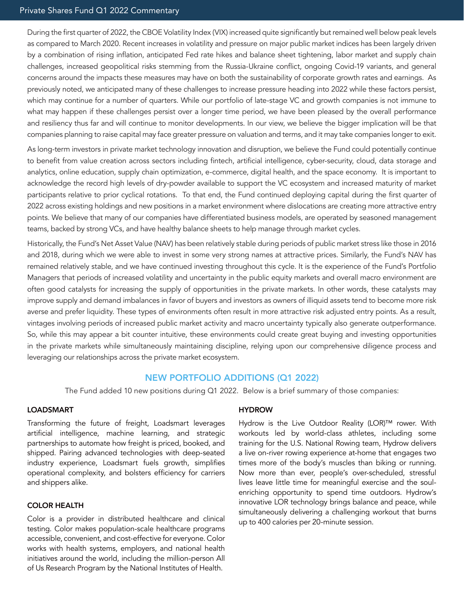During the first quarter of 2022, the CBOE Volatility Index (VIX) increased quite significantly but remained well below peak levels as compared to March 2020. Recent increases in volatility and pressure on major public market indices has been largely driven by a combination of rising inflation, anticipated Fed rate hikes and balance sheet tightening, labor market and supply chain challenges, increased geopolitical risks stemming from the Russia-Ukraine conflict, ongoing Covid-19 variants, and general concerns around the impacts these measures may have on both the sustainability of corporate growth rates and earnings. As previously noted, we anticipated many of these challenges to increase pressure heading into 2022 while these factors persist, which may continue for a number of quarters. While our portfolio of late-stage VC and growth companies is not immune to what may happen if these challenges persist over a longer time period, we have been pleased by the overall performance and resiliency thus far and will continue to monitor developments. In our view, we believe the bigger implication will be that companies planning to raise capital may face greater pressure on valuation and terms, and it may take companies longer to exit.

As long-term investors in private market technology innovation and disruption, we believe the Fund could potentially continue to benefit from value creation across sectors including fintech, artificial intelligence, cyber-security, cloud, data storage and analytics, online education, supply chain optimization, e-commerce, digital health, and the space economy. It is important to acknowledge the record high levels of dry-powder available to support the VC ecosystem and increased maturity of market participants relative to prior cyclical rotations. To that end, the Fund continued deploying capital during the first quarter of 2022 across existing holdings and new positions in a market environment where dislocations are creating more attractive entry points. We believe that many of our companies have differentiated business models, are operated by seasoned management teams, backed by strong VCs, and have healthy balance sheets to help manage through market cycles.

Historically, the Fund's Net Asset Value (NAV) has been relatively stable during periods of public market stress like those in 2016 and 2018, during which we were able to invest in some very strong names at attractive prices. Similarly, the Fund's NAV has remained relatively stable, and we have continued investing throughout this cycle. It is the experience of the Fund's Portfolio Managers that periods of increased volatility and uncertainty in the public equity markets and overall macro environment are often good catalysts for increasing the supply of opportunities in the private markets. In other words, these catalysts may improve supply and demand imbalances in favor of buyers and investors as owners of illiquid assets tend to become more risk averse and prefer liquidity. These types of environments often result in more attractive risk adjusted entry points. As a result, vintages involving periods of increased public market activity and macro uncertainty typically also generate outperformance. So, while this may appear a bit counter intuitive, these environments could create great buying and investing opportunities in the private markets while simultaneously maintaining discipline, relying upon our comprehensive diligence process and leveraging our relationships across the private market ecosystem.

## NEW PORTFOLIO ADDITIONS (Q1 2022)

The Fund added 10 new positions during Q1 2022. Below is a brief summary of those companies:

### LOADSMART

Transforming the future of freight, Loadsmart leverages artificial intelligence, machine learning, and strategic partnerships to automate how freight is priced, booked, and shipped. Pairing advanced technologies with deep-seated industry experience, Loadsmart fuels growth, simplifies operational complexity, and bolsters efficiency for carriers and shippers alike.

## COLOR HEALTH

Color is a provider in distributed healthcare and clinical testing. Color makes population-scale healthcare programs accessible, convenient, and cost-effective for everyone. Color works with health systems, employers, and national health initiatives around the world, including the million-person All of Us Research Program by the National Institutes of Health.

#### **HYDROW**

Hydrow is the Live Outdoor Reality (LOR)™ rower. With workouts led by world-class athletes, including some training for the U.S. National Rowing team, Hydrow delivers a live on-river rowing experience at-home that engages two times more of the body's muscles than biking or running. Now more than ever, people's over-scheduled, stressful lives leave little time for meaningful exercise and the soulenriching opportunity to spend time outdoors. Hydrow's innovative LOR technology brings balance and peace, while simultaneously delivering a challenging workout that burns up to 400 calories per 20-minute session.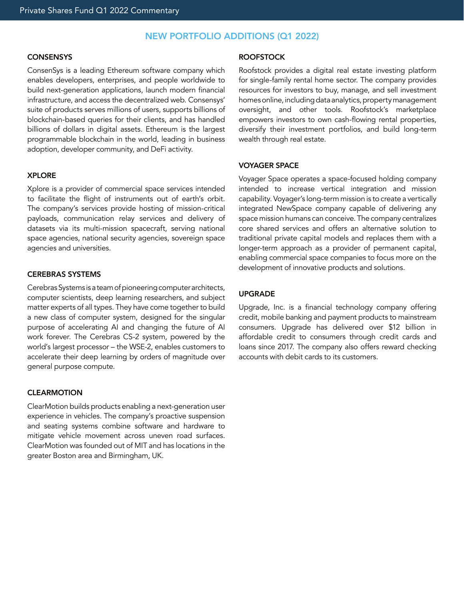# NEW PORTFOLIO ADDITIONS (Q1 2022)

### **CONSENSYS**

ConsenSys is a leading Ethereum software company which enables developers, enterprises, and people worldwide to build next-generation applications, launch modern financial infrastructure, and access the decentralized web. Consensys' suite of products serves millions of users, supports billions of blockchain-based queries for their clients, and has handled billions of dollars in digital assets. Ethereum is the largest programmable blockchain in the world, leading in business adoption, developer community, and DeFi activity.

#### XPLORE

Xplore is a provider of commercial space services intended to facilitate the flight of instruments out of earth's orbit. The company's services provide hosting of mission-critical payloads, communication relay services and delivery of datasets via its multi-mission spacecraft, serving national space agencies, national security agencies, sovereign space agencies and universities.

### CEREBRAS SYSTEMS

Cerebras Systems is a team of pioneering computer architects, computer scientists, deep learning researchers, and subject matter experts of all types. They have come together to build a new class of computer system, designed for the singular purpose of accelerating AI and changing the future of AI work forever. The Cerebras CS-2 system, powered by the world's largest processor – the WSE-2, enables customers to accelerate their deep learning by orders of magnitude over general purpose compute.

#### **CLEARMOTION**

ClearMotion builds products enabling a next-generation user experience in vehicles. The company's proactive suspension and seating systems combine software and hardware to mitigate vehicle movement across uneven road surfaces. ClearMotion was founded out of MIT and has locations in the greater Boston area and Birmingham, UK.

#### ROOFSTOCK

Roofstock provides a digital real estate investing platform for single-family rental home sector. The company provides resources for investors to buy, manage, and sell investment homes online, including data analytics, property management oversight, and other tools. Roofstock's marketplace empowers investors to own cash-flowing rental properties, diversify their investment portfolios, and build long-term wealth through real estate.

#### VOYAGER SPACE

Voyager Space operates a space-focused holding company intended to increase vertical integration and mission capability. Voyager's long-term mission is to create a vertically integrated NewSpace company capable of delivering any space mission humans can conceive. The company centralizes core shared services and offers an alternative solution to traditional private capital models and replaces them with a longer-term approach as a provider of permanent capital, enabling commercial space companies to focus more on the development of innovative products and solutions.

#### UPGRADE

Upgrade, Inc. is a financial technology company offering credit, mobile banking and payment products to mainstream consumers. Upgrade has delivered over \$12 billion in affordable credit to consumers through credit cards and loans since 2017. The company also offers reward checking accounts with debit cards to its customers.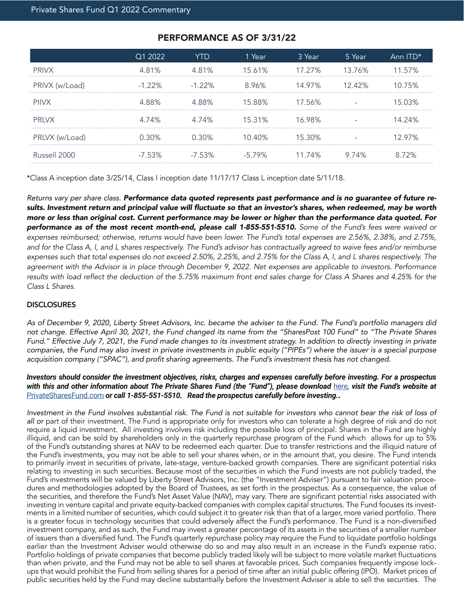|                | Q1 2022   | YTD       | 1 Year    | 3 Year | 5 Year | Ann ITD* |
|----------------|-----------|-----------|-----------|--------|--------|----------|
| <b>PRIVX</b>   | 4.81%     | 4.81%     | 15.61%    | 17.27% | 13.76% | 1 57%    |
| PRIVX (w/Load) | $-1.22\%$ | $-1.22\%$ | 8.96%     | 14.97% | 1242%  | 10.75%   |
| <b>PIIVX</b>   | 488%      | 488%      | 15.88%    | 17.56% |        | 15.03%   |
| <b>PRIVX</b>   | 4.74%     | 4 74%     | 15.31%    | 16.98% |        | 14 24%   |
| PRLVX (w/Load) | 0.30%     | 0.30%     | $10.40\%$ | 15.30% |        | 297%     |
| Russell 2000   | $-7.53\%$ | $-7.53\%$ | $-5.79\%$ | 11.74% | 9 74%  | 72%      |

# PERFORMANCE AS OF 3/31/22

\*Class A inception date 3/25/14, Class I inception date 11/17/17 Class L inception date 5/11/18.

*Returns vary per share class. Performance data quoted represents past performance and is no guarantee of future re*sults. Investment return and principal value will fluctuate so that an investor's shares, when redeemed, may be worth more or less than original cost. Current performance may be lower or higher than the performance data quoted. For performance as of the most recent month-end, please call 1-855-551-5510. *Some of the Fund's fees were waived or expenses reimbursed; otherwise, returns would have been lower. The Fund's total expenses are 2.56%, 2.38%, and 2.75%, and for the Class A, I, and L shares respectively. The Fund's advisor has contractually agreed to waive fees and/or reimburse expenses such that total expenses do not exceed 2.50%, 2.25%, and 2.75% for the Class A, I, and L shares respectively. The agreement with the Advisor is in place through December 9, 2022. Net expenses are applicable to investors. Performance*  results with load reflect the deduction of the 5.75% maximum front end sales charge for Class A Shares and 4.25% for the *Class L Shares.*

## **DISCLOSURES**

*As of December 9, 2020, Liberty Street Advisors, Inc. became the adviser to the Fund. The Fund's portfolio managers did not change. Effective April 30, 2021, the Fund changed its name from the "SharesPost 100 Fund" to "The Private Shares Fund." Effective July 7, 2021, the Fund made changes to its investment strategy. In addition to directly investing in private companies, the Fund may also invest in private investments in public equity ("PIPEs") where the issuer is a special purpose*  acquisition company ("SPAC"), and profit sharing agreements. The Fund's investment thesis has not changed.

## *Investors should consider the investment objectives, risks, charges and expenses carefully before investing. For a prospectus*  with this and other information about The Private Shares Fund (the "Fund"), please download **[here](https://privatesharesfund.com/downloads/prospectus/), visit the Fund's website** at [PrivateSharesFund.com](http://PrivateSharesFund.com) *or call 1-855-551-5510. Read the prospectus carefully before investing..*

*Investment in the Fund involves substantial risk. The Fund is not suitable for investors who cannot bear the risk of loss of all or* part of their investment. The Fund is appropriate only for investors who can tolerate a high degree of risk and do not require a liquid investment. All investing involves risk including the possible loss of principal. Shares in the Fund are highly illiquid, and can be sold by shareholders only in the quarterly repurchase program of the Fund which allows for up to 5% of the Fund's outstanding shares at NAV to be redeemed each quarter. Due to transfer restrictions and the illiquid nature of the Fund's investments, you may not be able to sell your shares when, or in the amount that, you desire. The Fund intends to primarily invest in securities of private, late-stage, venture-backed growth companies. There are significant potential risks relating to investing in such securities. Because most of the securities in which the Fund invests are not publicly traded, the Fund's investments will be valued by Liberty Street Advisors, Inc. (the "Investment Adviser") pursuant to fair valuation procedures and methodologies adopted by the Board of Trustees, as set forth in the prospectus. As a consequence, the value of the securities, and therefore the Fund's Net Asset Value (NAV), may vary. There are significant potential risks associated with investing in venture capital and private equity-backed companies with complex capital structures. The Fund focuses its investments in a limited number of securities, which could subject it to greater risk than that of a larger, more varied portfolio. There is a greater focus in technology securities that could adversely affect the Fund's performance. The Fund is a non-diversified investment company, and as such, the Fund may invest a greater percentage of its assets in the securities of a smaller number of issuers than a diversified fund. The Fund's quarterly repurchase policy may require the Fund to liquidate portfolio holdings earlier than the Investment Adviser would otherwise do so and may also result in an increase in the Fund's expense ratio. Portfolio holdings of private companies that become publicly traded likely will be subject to more volatile market fluctuations than when private, and the Fund may not be able to sell shares at favorable prices. Such companies frequently impose lockups that would prohibit the Fund from selling shares for a period of time after an initial public offering (IPO). Market prices of public securities held by the Fund may decline substantially before the Investment Adviser is able to sell the securities. The